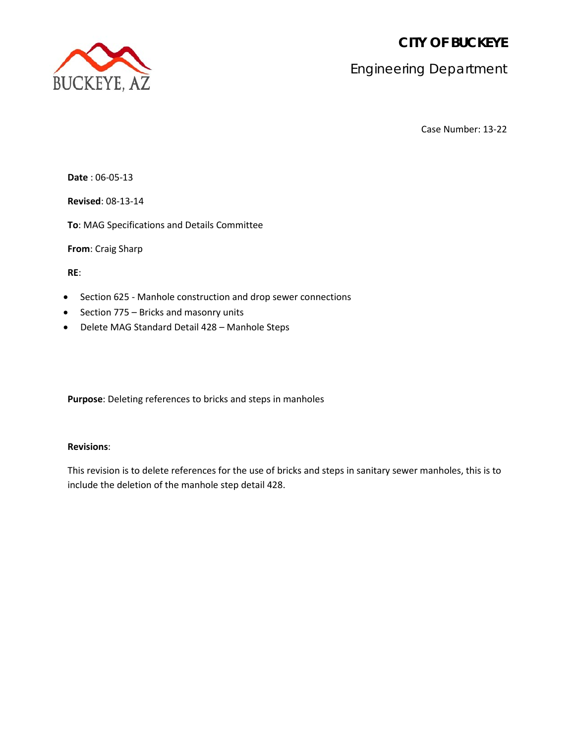**CITY OF BUCKEYE**



Engineering Department

Case Number: 13-22

**Date** : 06-05-13

**Revised**: 08-13-14

**To**: MAG Specifications and Details Committee

**From**: Craig Sharp

**RE**:

- Section 625 Manhole construction and drop sewer connections
- Section 775 Bricks and masonry units
- Delete MAG Standard Detail 428 Manhole Steps

**Purpose**: Deleting references to bricks and steps in manholes

# **Revisions**:

This revision is to delete references for the use of bricks and steps in sanitary sewer manholes, this is to include the deletion of the manhole step detail 428.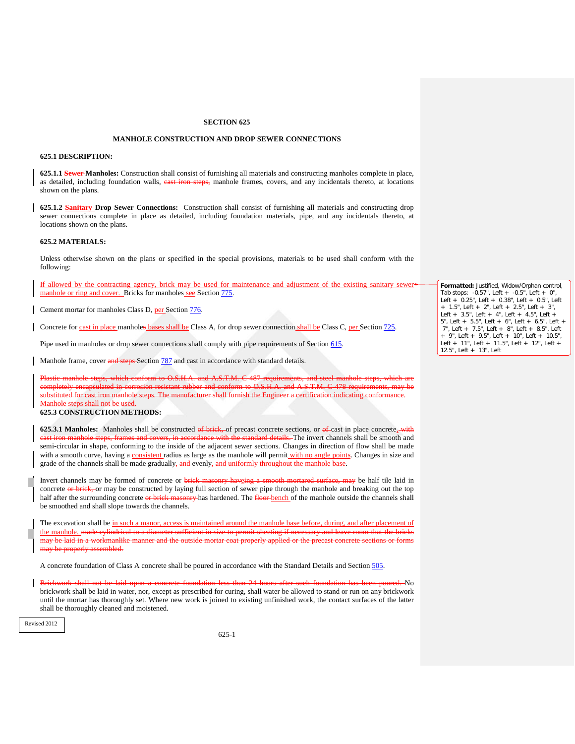### **MANHOLE CONSTRUCTION AND DROP SEWER CONNECTIONS**

#### **625.1 DESCRIPTION:**

**625.1.1 Sewer-Manholes:** Construction shall consist of furnishing all materials and constructing manholes complete in place, as detailed, including foundation walls, east iron steps, manhole frames, covers, and any incidentals thereto, at locations shown on the plans.

**625.1.2 Sanitary Drop Sewer Connections:** Construction shall consist of furnishing all materials and constructing drop sewer connections complete in place as detailed, including foundation materials, pipe, and any incidentals thereto, at locations shown on the plans.

#### **625.2 MATERIALS:**

Unless otherwise shown on the plans or specified in the special provisions, materials to be used shall conform with the following:

If allowed by the contracting agency, brick may be used for maintenance and adjustment of the existing sanitary sewer manhole or ring and cover. Bricks for manholes see Section 775.

Cement mortar for manholes Class D, per Section 776.

Concrete for cast in place manholes bases shall be Class A, for drop sewer connection shall be Class C, per Section 725.

Pipe used in manholes or drop sewer connections shall comply with pipe requirements of Section 615.

Manhole frame, cover and steps-Section 787 and cast in accordance with standard details.

 $\text{conform to OCLA}$  and ompletely encapsulated in corrosion resistant rubber and conform to O.S.H.A. and A.S.T.M. C-478 requirements,<br>platituted for cast iron manhole steps. The manufacturer shall furnish the Engineer a certification indicating c substituted for cast iron manhole Manhole steps shall not be used.

### **625.3 CONSTRUCTION METHODS:**

**625.3.1 Manholes:** Manholes shall be constructed of brick, of precast concrete sections, or of cast in place concrete, with with the standard details. The invert channels shall be smooth and semi-circular in shape, conforming to the inside of the adjacent sewer sections. Changes in direction of flow shall be made with a smooth curve, having a consistent radius as large as the manhole will permit with no angle points. Changes in size and grade of the channels shall be made gradually, and evenly, and uniformly throughout the manhole base.

Invert channels may be formed of concrete or brick masonry haveing a smooth mortared surface, may be half tile laid in concrete or brick, or may be constructed by laying full section of sewer pipe through the manhole and breaking out the top half after the surrounding concrete or brick masonry has hardened. The floor bench of the manhole outside the channels shall be smoothed and shall slope towards the channels.

The excavation shall be in such a manor, access is maintained around the manhole base before, during, and after placement of the manhole. made cylindrical to a diameter sufficient in size to permit sheeting if necessary and leave room that the bricks manlike manner and the outside mortar coat properly applied or the p merly assembled.

A concrete foundation of Class A concrete shall be poured in accordance with the Standard Details and Section 505.

Brickwork shall not be laid upon a concrete foundation less than 24 hours after such foundation has been poured. No brickwork shall be laid in water, nor, except as prescribed for curing, shall water be allowed to stand or run on any brickwork until the mortar has thoroughly set. Where new work is joined to existing unfinished work, the contact surfaces of the latter shall be thoroughly cleaned and moistened.

Revised 2012

**Formatted:** Justified, Widow/Orphan control, Tab stops: -0.57", Left + -0.5", Left + 0", Left + 0.25", Left + 0.38", Left + 0.5", Left + 1.5", Left + 2", Left + 2.5", Left + 3", Left + 3.5", Left + 4", Left + 4.5", Left + 5", Left + 5.5", Left + 6", Left + 6.5", Left + 7", Left + 7.5", Left + 8", Left + 8.5", Left + 9", Left + 9.5", Left + 10", Left + 10.5", Left + 11", Left + 11.5", Left + 12", Left + 12.5", Left + 13", Left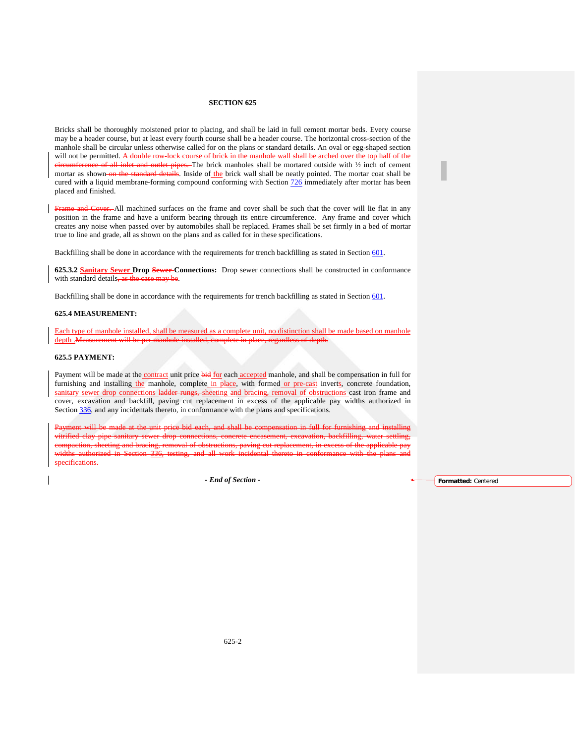Bricks shall be thoroughly moistened prior to placing, and shall be laid in full cement mortar beds. Every course may be a header course, but at least every fourth course shall be a header course. The horizontal cross-section of the manhole shall be circular unless otherwise called for on the plans or standard details. An oval or egg-shaped section will not be permitted. A double row lock course of brick in the manhole wall shall be arched over the to will not be permitted. A double row-lock course of brick in the manhole wall shall be arched over the top half of the eircumference of all inlet and outlet pipes. The brick manholes shall be mortared outside with  $\frac{1}{2}$  inch of cement mortar as shown on the standard details. Inside of the brick wall shall be neatly pointed. The mortar coat shall be cured with a liquid membrane-forming compound conforming with Section 726 immediately after mortar has been placed and finished.

**HRAME COVET.** All machined surfaces on the frame and cover shall be such that the cover will lie flat in any position in the frame and have a uniform bearing through its entire circumference. Any frame and cover which creates any noise when passed over by automobiles shall be replaced. Frames shall be set firmly in a bed of mortar true to line and grade, all as shown on the plans and as called for in these specifications.

Backfilling shall be done in accordance with the requirements for trench backfilling as stated in Section 601.

**625.3.2 Sanitary Sewer Drop Sewer Connections:** Drop sewer connections shall be constructed in conformance with standard details, as the case may be.

Backfilling shall be done in accordance with the requirements for trench backfilling as stated in Section 601.

#### **625.4 MEASUREMENT:**

Each type of manhole installed, shall be measured as a complete unit, no distinction shall be made based on manhole depth .Measurement

#### **625.5 PAYMENT:**

Payment will be made at the contract unit price bid for each accepted manhole, and shall be compensation in full for furnishing and installing the manhole, complete in place, with formed or pre-cast inverts, concrete foundation, sanitary sewer drop connections ladder rungs, sheeting and bracing, removal of obstructions cast iron frame and cover, excavation and backfill, paving cut replacement in excess of the applicable pay widths authorized in Section 336, and any incidentals thereto, in conformance with the plans and specifications.

at the unit price bid each, and shall be compensation in full for furnishing and installing<br>ary sewer dron connections, concrete encasement, excavation, backfilling, water settling, pipe sanitary sewer drop connections, concrete encasement, excavation, backfilling, water bracing, removal of obstructions, paving cut replacement, in excess of the applicable pay testing, and all work incidental thereto in conformance with the specifications.

**-** *End of Section* - **Formatted:** Centered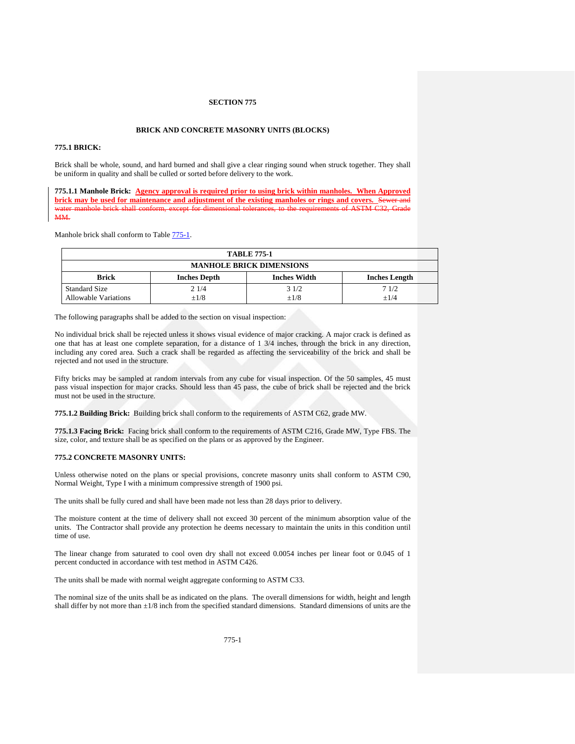#### **BRICK AND CONCRETE MASONRY UNITS (BLOCKS)**

### **775.1 BRICK:**

Brick shall be whole, sound, and hard burned and shall give a clear ringing sound when struck together. They shall be uniform in quality and shall be culled or sorted before delivery to the work.

**775.1.1 Manhole Brick: Agency approval is required prior to using brick within manholes. When Approved brick may be used for maintenance and adjustment of the existing manholes or rings and covers.** Sewer water manhole brick shall conform, except for dimensional tolerances, to the requirements of ASTM C32, Grade **MM** 

Manhole brick shall conform to Table  $775-1$ .

<span id="page-3-0"></span>

| <b>TABLE 775-1</b>                           |                     |                     |                      |  |  |
|----------------------------------------------|---------------------|---------------------|----------------------|--|--|
| <b>MANHOLE BRICK DIMENSIONS</b>              |                     |                     |                      |  |  |
| <b>Brick</b>                                 | <b>Inches Depth</b> | <b>Inches Width</b> | <b>Inches Length</b> |  |  |
| Standard Size<br><b>Allowable Variations</b> | 21/4<br>$+1/8$      | 31/2<br>$+1/8$      | 71/2<br>$+1/4$       |  |  |

The following paragraphs shall be added to the section on visual inspection:

No individual brick shall be rejected unless it shows visual evidence of major cracking. A major crack is defined as one that has at least one complete separation, for a distance of 1 3/4 inches, through the brick in any direction, including any cored area. Such a crack shall be regarded as affecting the serviceability of the brick and shall be rejected and not used in the structure.

Fifty bricks may be sampled at random intervals from any cube for visual inspection. Of the 50 samples, 45 must pass visual inspection for major cracks. Should less than 45 pass, the cube of brick shall be rejected and the brick must not be used in the structure.

**775.1.2 Building Brick:** Building brick shall conform to the requirements of ASTM C62, grade MW.

**775.1.3 Facing Brick:** Facing brick shall conform to the requirements of ASTM C216, Grade MW, Type FBS. The size, color, and texture shall be as specified on the plans or as approved by the Engineer.

#### **775.2 CONCRETE MASONRY UNITS:**

Unless otherwise noted on the plans or special provisions, concrete masonry units shall conform to ASTM C90, Normal Weight, Type I with a minimum compressive strength of 1900 psi.

The units shall be fully cured and shall have been made not less than 28 days prior to delivery.

The moisture content at the time of delivery shall not exceed 30 percent of the minimum absorption value of the units. The Contractor shall provide any protection he deems necessary to maintain the units in this condition until time of use.

The linear change from saturated to cool oven dry shall not exceed 0.0054 inches per linear foot or 0.045 of 1 percent conducted in accordance with test method in ASTM C426.

The units shall be made with normal weight aggregate conforming to ASTM C33.

The nominal size of the units shall be as indicated on the plans. The overall dimensions for width, height and length shall differ by not more than ±1/8 inch from the specified standard dimensions. Standard dimensions of units are the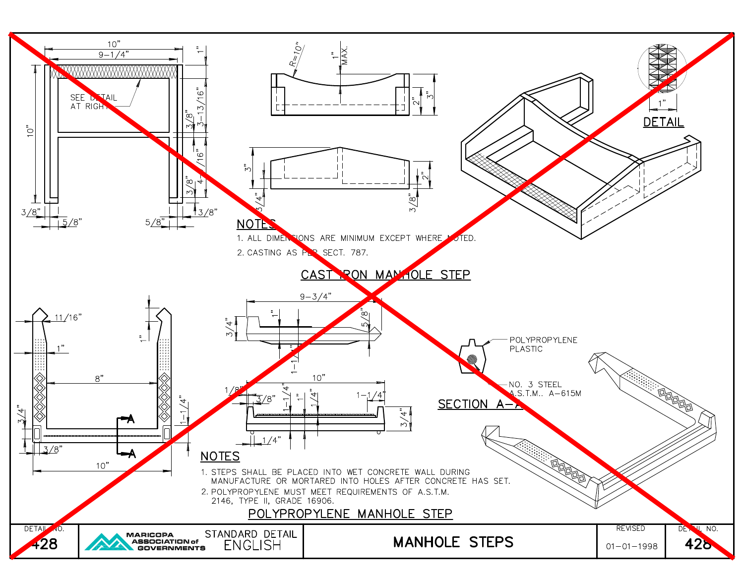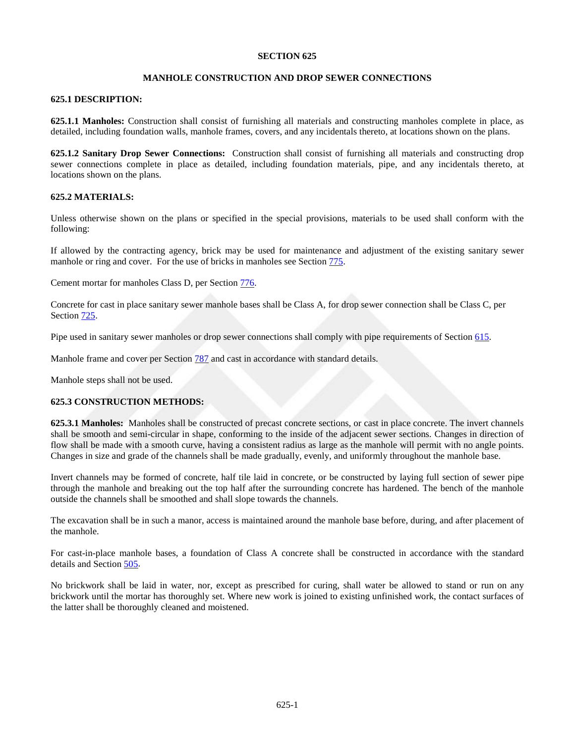### **MANHOLE CONSTRUCTION AND DROP SEWER CONNECTIONS**

### **625.1 DESCRIPTION:**

**625.1.1 Manholes:** Construction shall consist of furnishing all materials and constructing manholes complete in place, as detailed, including foundation walls, manhole frames, covers, and any incidentals thereto, at locations shown on the plans.

**625.1.2 Sanitary Drop Sewer Connections:** Construction shall consist of furnishing all materials and constructing drop sewer connections complete in place as detailed, including foundation materials, pipe, and any incidentals thereto, at locations shown on the plans.

### **625.2 MATERIALS:**

Unless otherwise shown on the plans or specified in the special provisions, materials to be used shall conform with the following:

If allowed by the contracting agency, brick may be used for maintenance and adjustment of the existing sanitary sewer manhole or ring and cover. For the use of bricks in manholes see Section 775.

Cement mortar for manholes Class D, per Section 776.

Concrete for cast in place sanitary sewer manhole bases shall be Class A, for drop sewer connection shall be Class C, per Section 725.

Pipe used in sanitary sewer manholes or drop sewer connections shall comply with pipe requirements of Section 615.

Manhole frame and cover per Section 787 and cast in accordance with standard details.

Manhole steps shall not be used.

## **625.3 CONSTRUCTION METHODS:**

**625.3.1 Manholes:** Manholes shall be constructed of precast concrete sections, or cast in place concrete. The invert channels shall be smooth and semi-circular in shape, conforming to the inside of the adjacent sewer sections. Changes in direction of flow shall be made with a smooth curve, having a consistent radius as large as the manhole will permit with no angle points. Changes in size and grade of the channels shall be made gradually, evenly, and uniformly throughout the manhole base.

Invert channels may be formed of concrete, half tile laid in concrete, or be constructed by laying full section of sewer pipe through the manhole and breaking out the top half after the surrounding concrete has hardened. The bench of the manhole outside the channels shall be smoothed and shall slope towards the channels.

The excavation shall be in such a manor, access is maintained around the manhole base before, during, and after placement of the manhole.

For cast-in-place manhole bases, a foundation of Class A concrete shall be constructed in accordance with the standard details and Section 505.

No brickwork shall be laid in water, nor, except as prescribed for curing, shall water be allowed to stand or run on any brickwork until the mortar has thoroughly set. Where new work is joined to existing unfinished work, the contact surfaces of the latter shall be thoroughly cleaned and moistened.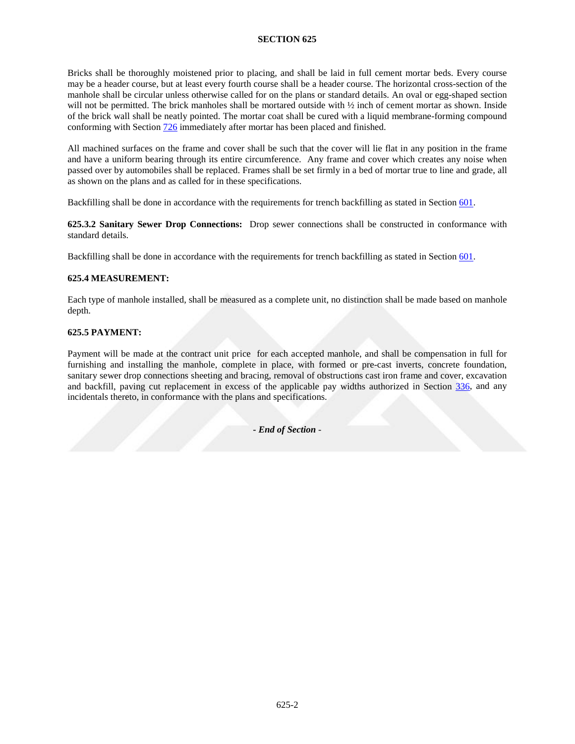Bricks shall be thoroughly moistened prior to placing, and shall be laid in full cement mortar beds. Every course may be a header course, but at least every fourth course shall be a header course. The horizontal cross-section of the manhole shall be circular unless otherwise called for on the plans or standard details. An oval or egg-shaped section will not be permitted. The brick manholes shall be mortared outside with  $\frac{1}{2}$  inch of cement mortar as shown. Inside of the brick wall shall be neatly pointed. The mortar coat shall be cured with a liquid membrane-forming compound conforming with Section 726 immediately after mortar has been placed and finished.

All machined surfaces on the frame and cover shall be such that the cover will lie flat in any position in the frame and have a uniform bearing through its entire circumference. Any frame and cover which creates any noise when passed over by automobiles shall be replaced. Frames shall be set firmly in a bed of mortar true to line and grade, all as shown on the plans and as called for in these specifications.

Backfilling shall be done in accordance with the requirements for trench backfilling as stated in Section 601.

**625.3.2 Sanitary Sewer Drop Connections:** Drop sewer connections shall be constructed in conformance with standard details.

Backfilling shall be done in accordance with the requirements for trench backfilling as stated in Section 601.

## **625.4 MEASUREMENT:**

Each type of manhole installed, shall be measured as a complete unit, no distinction shall be made based on manhole depth.

### **625.5 PAYMENT:**

Payment will be made at the contract unit price for each accepted manhole, and shall be compensation in full for furnishing and installing the manhole, complete in place, with formed or pre-cast inverts, concrete foundation, sanitary sewer drop connections sheeting and bracing, removal of obstructions cast iron frame and cover, excavation and backfill, paving cut replacement in excess of the applicable pay widths authorized in Section 336, and any incidentals thereto, in conformance with the plans and specifications.

**-** *End of Section* -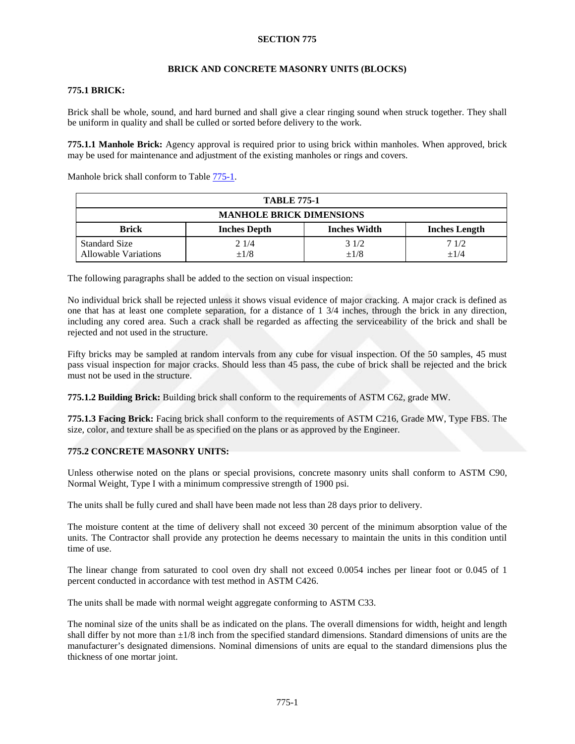### **BRICK AND CONCRETE MASONRY UNITS (BLOCKS)**

## **775.1 BRICK:**

Brick shall be whole, sound, and hard burned and shall give a clear ringing sound when struck together. They shall be uniform in quality and shall be culled or sorted before delivery to the work.

**775.1.1 Manhole Brick:** Agency approval is required prior to using brick within manholes. When approved, brick may be used for maintenance and adjustment of the existing manholes or rings and covers.

Manhole brick shall conform to Tabl[e 775-1.](#page-7-0)

<span id="page-7-0"></span>

| <b>TABLE 775-1</b>                           |                     |                     |                      |  |
|----------------------------------------------|---------------------|---------------------|----------------------|--|
| <b>MANHOLE BRICK DIMENSIONS</b>              |                     |                     |                      |  |
| <b>Brick</b>                                 | <b>Inches Depth</b> | <b>Inches Width</b> | <b>Inches Length</b> |  |
| <b>Standard Size</b><br>Allowable Variations | 21/4<br>$\pm 1/8$   | 31/2<br>$\pm 1/8$   | 71/2<br>$+1/4$       |  |

The following paragraphs shall be added to the section on visual inspection:

No individual brick shall be rejected unless it shows visual evidence of major cracking. A major crack is defined as one that has at least one complete separation, for a distance of 1 3/4 inches, through the brick in any direction, including any cored area. Such a crack shall be regarded as affecting the serviceability of the brick and shall be rejected and not used in the structure.

Fifty bricks may be sampled at random intervals from any cube for visual inspection. Of the 50 samples, 45 must pass visual inspection for major cracks. Should less than 45 pass, the cube of brick shall be rejected and the brick must not be used in the structure.

**775.1.2 Building Brick:** Building brick shall conform to the requirements of ASTM C62, grade MW.

**775.1.3 Facing Brick:** Facing brick shall conform to the requirements of ASTM C216, Grade MW, Type FBS. The size, color, and texture shall be as specified on the plans or as approved by the Engineer.

# **775.2 CONCRETE MASONRY UNITS:**

Unless otherwise noted on the plans or special provisions, concrete masonry units shall conform to ASTM C90, Normal Weight, Type I with a minimum compressive strength of 1900 psi.

The units shall be fully cured and shall have been made not less than 28 days prior to delivery.

The moisture content at the time of delivery shall not exceed 30 percent of the minimum absorption value of the units. The Contractor shall provide any protection he deems necessary to maintain the units in this condition until time of use.

The linear change from saturated to cool oven dry shall not exceed 0.0054 inches per linear foot or 0.045 of 1 percent conducted in accordance with test method in ASTM C426.

The units shall be made with normal weight aggregate conforming to ASTM C33.

The nominal size of the units shall be as indicated on the plans. The overall dimensions for width, height and length shall differ by not more than  $\pm 1/8$  inch from the specified standard dimensions. Standard dimensions of units are the manufacturer's designated dimensions. Nominal dimensions of units are equal to the standard dimensions plus the thickness of one mortar joint.